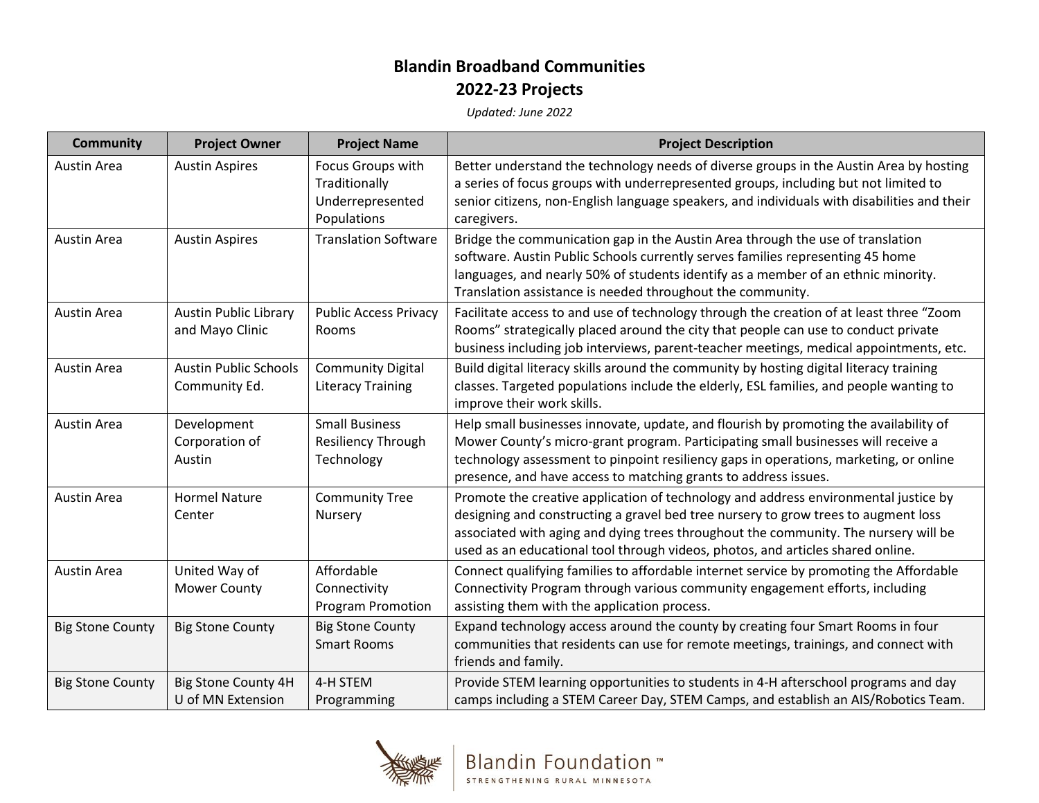## **Blandin Broadband Communities 2022-23 Projects**

*Updated: June 2022*

| <b>Community</b>        | <b>Project Owner</b>                            | <b>Project Name</b>                                                   | <b>Project Description</b>                                                                                                                                                                                                                                                                                                                          |
|-------------------------|-------------------------------------------------|-----------------------------------------------------------------------|-----------------------------------------------------------------------------------------------------------------------------------------------------------------------------------------------------------------------------------------------------------------------------------------------------------------------------------------------------|
| <b>Austin Area</b>      | <b>Austin Aspires</b>                           | Focus Groups with<br>Traditionally<br>Underrepresented<br>Populations | Better understand the technology needs of diverse groups in the Austin Area by hosting<br>a series of focus groups with underrepresented groups, including but not limited to<br>senior citizens, non-English language speakers, and individuals with disabilities and their<br>caregivers.                                                         |
| Austin Area             | <b>Austin Aspires</b>                           | <b>Translation Software</b>                                           | Bridge the communication gap in the Austin Area through the use of translation<br>software. Austin Public Schools currently serves families representing 45 home<br>languages, and nearly 50% of students identify as a member of an ethnic minority.<br>Translation assistance is needed throughout the community.                                 |
| <b>Austin Area</b>      | <b>Austin Public Library</b><br>and Mayo Clinic | <b>Public Access Privacy</b><br>Rooms                                 | Facilitate access to and use of technology through the creation of at least three "Zoom<br>Rooms" strategically placed around the city that people can use to conduct private<br>business including job interviews, parent-teacher meetings, medical appointments, etc.                                                                             |
| <b>Austin Area</b>      | <b>Austin Public Schools</b><br>Community Ed.   | <b>Community Digital</b><br><b>Literacy Training</b>                  | Build digital literacy skills around the community by hosting digital literacy training<br>classes. Targeted populations include the elderly, ESL families, and people wanting to<br>improve their work skills.                                                                                                                                     |
| <b>Austin Area</b>      | Development<br>Corporation of<br>Austin         | <b>Small Business</b><br>Resiliency Through<br>Technology             | Help small businesses innovate, update, and flourish by promoting the availability of<br>Mower County's micro-grant program. Participating small businesses will receive a<br>technology assessment to pinpoint resiliency gaps in operations, marketing, or online<br>presence, and have access to matching grants to address issues.              |
| Austin Area             | <b>Hormel Nature</b><br>Center                  | <b>Community Tree</b><br>Nursery                                      | Promote the creative application of technology and address environmental justice by<br>designing and constructing a gravel bed tree nursery to grow trees to augment loss<br>associated with aging and dying trees throughout the community. The nursery will be<br>used as an educational tool through videos, photos, and articles shared online. |
| <b>Austin Area</b>      | United Way of<br><b>Mower County</b>            | Affordable<br>Connectivity<br><b>Program Promotion</b>                | Connect qualifying families to affordable internet service by promoting the Affordable<br>Connectivity Program through various community engagement efforts, including<br>assisting them with the application process.                                                                                                                              |
| <b>Big Stone County</b> | <b>Big Stone County</b>                         | <b>Big Stone County</b><br><b>Smart Rooms</b>                         | Expand technology access around the county by creating four Smart Rooms in four<br>communities that residents can use for remote meetings, trainings, and connect with<br>friends and family.                                                                                                                                                       |
| <b>Big Stone County</b> | <b>Big Stone County 4H</b><br>U of MN Extension | 4-H STEM<br>Programming                                               | Provide STEM learning opportunities to students in 4-H afterschool programs and day<br>camps including a STEM Career Day, STEM Camps, and establish an AIS/Robotics Team.                                                                                                                                                                           |

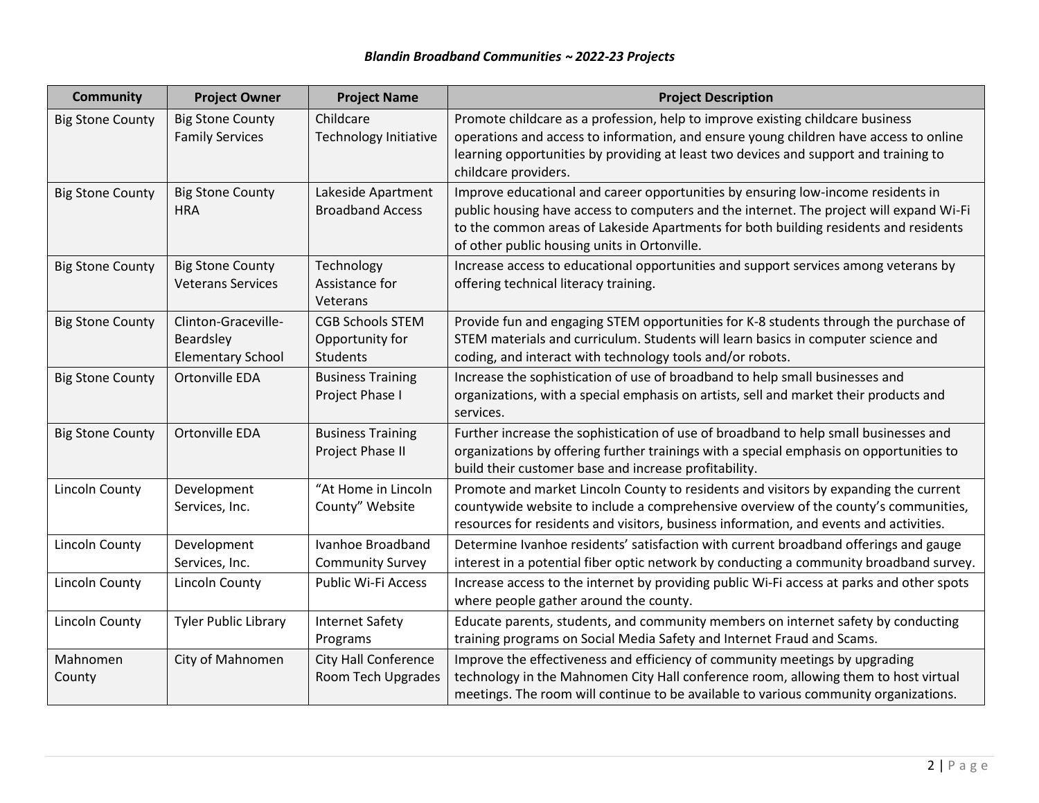| <b>Community</b>        | <b>Project Owner</b>                                         | <b>Project Name</b>                                           | <b>Project Description</b>                                                                                                                                                                                                                                                                                          |
|-------------------------|--------------------------------------------------------------|---------------------------------------------------------------|---------------------------------------------------------------------------------------------------------------------------------------------------------------------------------------------------------------------------------------------------------------------------------------------------------------------|
| <b>Big Stone County</b> | <b>Big Stone County</b><br><b>Family Services</b>            | Childcare<br><b>Technology Initiative</b>                     | Promote childcare as a profession, help to improve existing childcare business<br>operations and access to information, and ensure young children have access to online<br>learning opportunities by providing at least two devices and support and training to<br>childcare providers.                             |
| <b>Big Stone County</b> | <b>Big Stone County</b><br><b>HRA</b>                        | Lakeside Apartment<br><b>Broadband Access</b>                 | Improve educational and career opportunities by ensuring low-income residents in<br>public housing have access to computers and the internet. The project will expand Wi-Fi<br>to the common areas of Lakeside Apartments for both building residents and residents<br>of other public housing units in Ortonville. |
| <b>Big Stone County</b> | <b>Big Stone County</b><br><b>Veterans Services</b>          | Technology<br>Assistance for<br>Veterans                      | Increase access to educational opportunities and support services among veterans by<br>offering technical literacy training.                                                                                                                                                                                        |
| <b>Big Stone County</b> | Clinton-Graceville-<br>Beardsley<br><b>Elementary School</b> | <b>CGB Schools STEM</b><br>Opportunity for<br><b>Students</b> | Provide fun and engaging STEM opportunities for K-8 students through the purchase of<br>STEM materials and curriculum. Students will learn basics in computer science and<br>coding, and interact with technology tools and/or robots.                                                                              |
| <b>Big Stone County</b> | Ortonville EDA                                               | <b>Business Training</b><br>Project Phase I                   | Increase the sophistication of use of broadband to help small businesses and<br>organizations, with a special emphasis on artists, sell and market their products and<br>services.                                                                                                                                  |
| <b>Big Stone County</b> | Ortonville EDA                                               | <b>Business Training</b><br>Project Phase II                  | Further increase the sophistication of use of broadband to help small businesses and<br>organizations by offering further trainings with a special emphasis on opportunities to<br>build their customer base and increase profitability.                                                                            |
| Lincoln County          | Development<br>Services, Inc.                                | "At Home in Lincoln<br>County" Website                        | Promote and market Lincoln County to residents and visitors by expanding the current<br>countywide website to include a comprehensive overview of the county's communities,<br>resources for residents and visitors, business information, and events and activities.                                               |
| Lincoln County          | Development<br>Services, Inc.                                | Ivanhoe Broadband<br><b>Community Survey</b>                  | Determine Ivanhoe residents' satisfaction with current broadband offerings and gauge<br>interest in a potential fiber optic network by conducting a community broadband survey.                                                                                                                                     |
| Lincoln County          | Lincoln County                                               | Public Wi-Fi Access                                           | Increase access to the internet by providing public Wi-Fi access at parks and other spots<br>where people gather around the county.                                                                                                                                                                                 |
| Lincoln County          | <b>Tyler Public Library</b>                                  | <b>Internet Safety</b><br>Programs                            | Educate parents, students, and community members on internet safety by conducting<br>training programs on Social Media Safety and Internet Fraud and Scams.                                                                                                                                                         |
| Mahnomen<br>County      | City of Mahnomen                                             | <b>City Hall Conference</b><br>Room Tech Upgrades             | Improve the effectiveness and efficiency of community meetings by upgrading<br>technology in the Mahnomen City Hall conference room, allowing them to host virtual<br>meetings. The room will continue to be available to various community organizations.                                                          |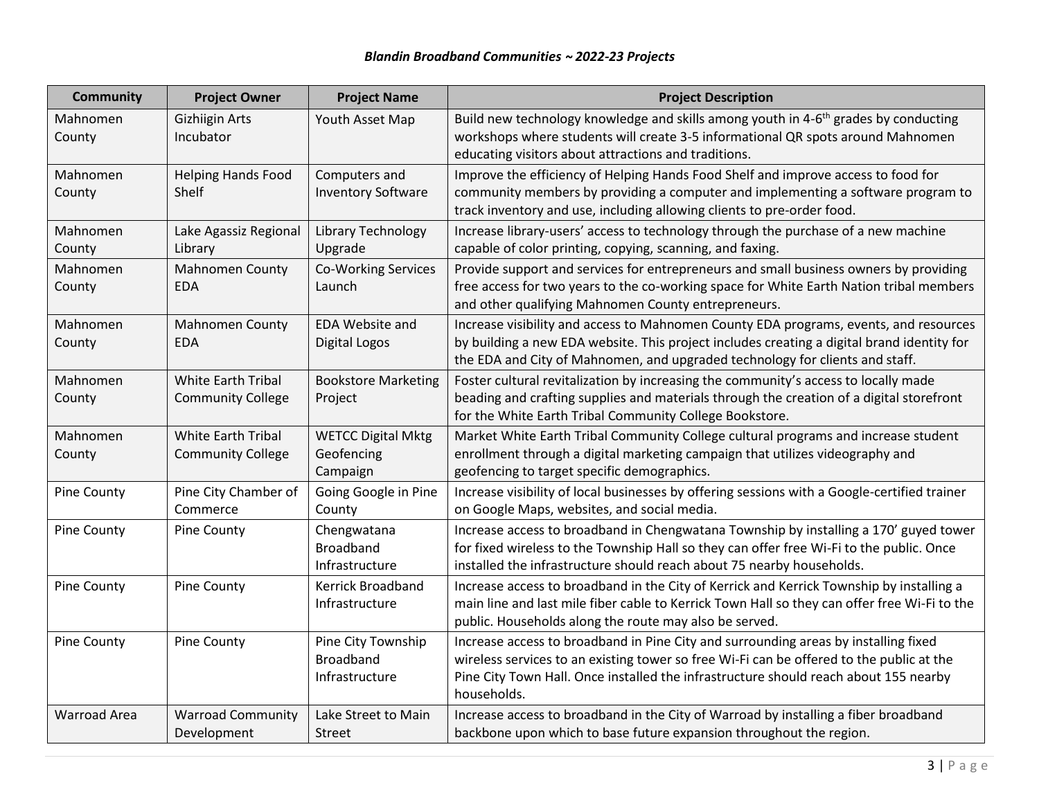| <b>Community</b>   | <b>Project Owner</b>                                  | <b>Project Name</b>                                      | <b>Project Description</b>                                                                                                                                                                                                                                                             |
|--------------------|-------------------------------------------------------|----------------------------------------------------------|----------------------------------------------------------------------------------------------------------------------------------------------------------------------------------------------------------------------------------------------------------------------------------------|
| Mahnomen<br>County | <b>Gizhiigin Arts</b><br>Incubator                    | Youth Asset Map                                          | Build new technology knowledge and skills among youth in 4-6 <sup>th</sup> grades by conducting<br>workshops where students will create 3-5 informational QR spots around Mahnomen<br>educating visitors about attractions and traditions.                                             |
| Mahnomen<br>County | <b>Helping Hands Food</b><br>Shelf                    | Computers and<br><b>Inventory Software</b>               | Improve the efficiency of Helping Hands Food Shelf and improve access to food for<br>community members by providing a computer and implementing a software program to<br>track inventory and use, including allowing clients to pre-order food.                                        |
| Mahnomen<br>County | Lake Agassiz Regional<br>Library                      | Library Technology<br>Upgrade                            | Increase library-users' access to technology through the purchase of a new machine<br>capable of color printing, copying, scanning, and faxing.                                                                                                                                        |
| Mahnomen<br>County | Mahnomen County<br><b>EDA</b>                         | Co-Working Services<br>Launch                            | Provide support and services for entrepreneurs and small business owners by providing<br>free access for two years to the co-working space for White Earth Nation tribal members<br>and other qualifying Mahnomen County entrepreneurs.                                                |
| Mahnomen<br>County | Mahnomen County<br><b>EDA</b>                         | <b>EDA Website and</b><br><b>Digital Logos</b>           | Increase visibility and access to Mahnomen County EDA programs, events, and resources<br>by building a new EDA website. This project includes creating a digital brand identity for<br>the EDA and City of Mahnomen, and upgraded technology for clients and staff.                    |
| Mahnomen<br>County | White Earth Tribal<br><b>Community College</b>        | <b>Bookstore Marketing</b><br>Project                    | Foster cultural revitalization by increasing the community's access to locally made<br>beading and crafting supplies and materials through the creation of a digital storefront<br>for the White Earth Tribal Community College Bookstore.                                             |
| Mahnomen<br>County | <b>White Earth Tribal</b><br><b>Community College</b> | <b>WETCC Digital Mktg</b><br>Geofencing<br>Campaign      | Market White Earth Tribal Community College cultural programs and increase student<br>enrollment through a digital marketing campaign that utilizes videography and<br>geofencing to target specific demographics.                                                                     |
| <b>Pine County</b> | Pine City Chamber of<br>Commerce                      | Going Google in Pine<br>County                           | Increase visibility of local businesses by offering sessions with a Google-certified trainer<br>on Google Maps, websites, and social media.                                                                                                                                            |
| Pine County        | Pine County                                           | Chengwatana<br><b>Broadband</b><br>Infrastructure        | Increase access to broadband in Chengwatana Township by installing a 170' guyed tower<br>for fixed wireless to the Township Hall so they can offer free Wi-Fi to the public. Once<br>installed the infrastructure should reach about 75 nearby households.                             |
| Pine County        | Pine County                                           | <b>Kerrick Broadband</b><br>Infrastructure               | Increase access to broadband in the City of Kerrick and Kerrick Township by installing a<br>main line and last mile fiber cable to Kerrick Town Hall so they can offer free Wi-Fi to the<br>public. Households along the route may also be served.                                     |
| <b>Pine County</b> | Pine County                                           | Pine City Township<br><b>Broadband</b><br>Infrastructure | Increase access to broadband in Pine City and surrounding areas by installing fixed<br>wireless services to an existing tower so free Wi-Fi can be offered to the public at the<br>Pine City Town Hall. Once installed the infrastructure should reach about 155 nearby<br>households. |
| Warroad Area       | <b>Warroad Community</b><br>Development               | Lake Street to Main<br><b>Street</b>                     | Increase access to broadband in the City of Warroad by installing a fiber broadband<br>backbone upon which to base future expansion throughout the region.                                                                                                                             |